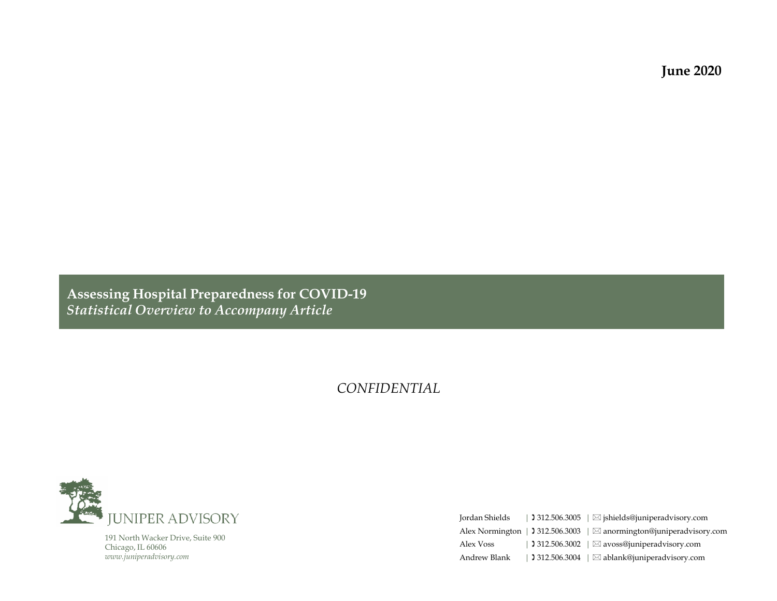**June 2020**

**Assessing Hospital Preparedness for COVID-19** *Statistical Overview to Accompany Article*

#### *CONFIDENTIAL*



191 North Wacker Drive, Suite 900 Chicago, IL 60606 *www.juniperadvisory.com*

| Jordan Shields | 312.506.3005   $\boxtimes$ jshields@juniperadvisory.com              |
|----------------|----------------------------------------------------------------------|
|                | Alex Normington   1 312.506.3003   ⊠ anormington@juniperadvisory.com |
| Alex Voss      | 312.506.3002   $\boxtimes$ avoss@juniperadvisory.com                 |
| Andrew Blank   | 312.506.3004   $\boxtimes$ ablank@juniperadvisory.com                |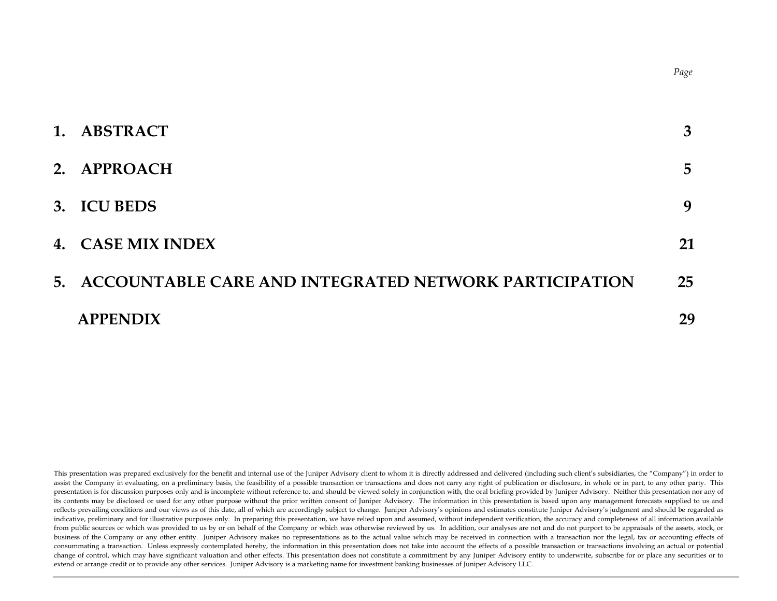| 1. ABSTRACT                                              | 3           |
|----------------------------------------------------------|-------------|
| 2. APPROACH                                              | $5^{\circ}$ |
| 3. ICU BEDS                                              | 9           |
| 4. CASE MIX INDEX                                        | 21          |
| 5. ACCOUNTABLE CARE AND INTEGRATED NETWORK PARTICIPATION | 25          |
| <b>APPENDIX</b>                                          | 29          |

This presentation was prepared exclusively for the benefit and internal use of the Juniper Advisory client to whom it is directly addressed and delivered (including such client's subsidiaries, the "Company") in order to assist the Company in evaluating, on a preliminary basis, the feasibility of a possible transaction or transactions and does not carry any right of publication or disclosure, in whole or in part, to any other party. This presentation is for discussion purposes only and is incomplete without reference to, and should be viewed solely in conjunction with, the oral briefing provided by Juniper Advisory. Neither this presentation nor any of its contents may be disclosed or used for any other purpose without the prior written consent of Juniper Advisory. The information in this presentation is based upon any management forecasts supplied to us and reflects prevailing conditions and our views as of this date, all of which are accordingly subject to change. Juniper Advisory's opinions and estimates constitute Juniper Advisory's judgment and should be regarded as indicative, preliminary and for illustrative purposes only. In preparing this presentation, we have relied upon and assumed, without independent verification, the accuracy and completeness of all information available from public sources or which was provided to us by or on behalf of the Company or which was otherwise reviewed by us. In addition, our analyses are not and do not purport to be appraisals of the assets, stock, or business of the Company or any other entity. Juniper Advisory makes no representations as to the actual value which may be received in connection with a transaction nor the legal, tax or accounting effects of consummating a transaction. Unless expressly contemplated hereby, the information in this presentation does not take into account the effects of a possible transaction or transactions involving an actual or potential change of control, which may have significant valuation and other effects. This presentation does not constitute a commitment by any Juniper Advisory entity to underwrite, subscribe for or place any securities or to extend or arrange credit or to provide any other services. Juniper Advisory is a marketing name for investment banking businesses of Juniper Advisory LLC.

*Page*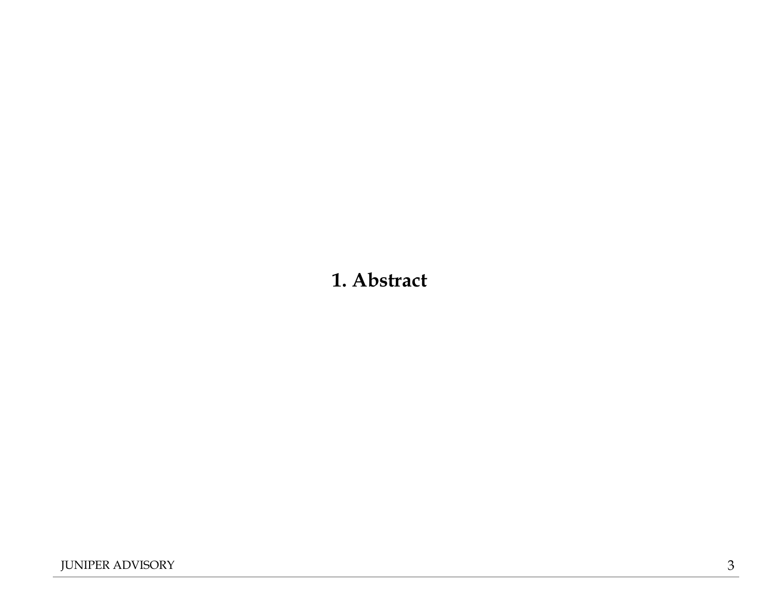# **1. Abstract**

JUNIPER ADVISORY 3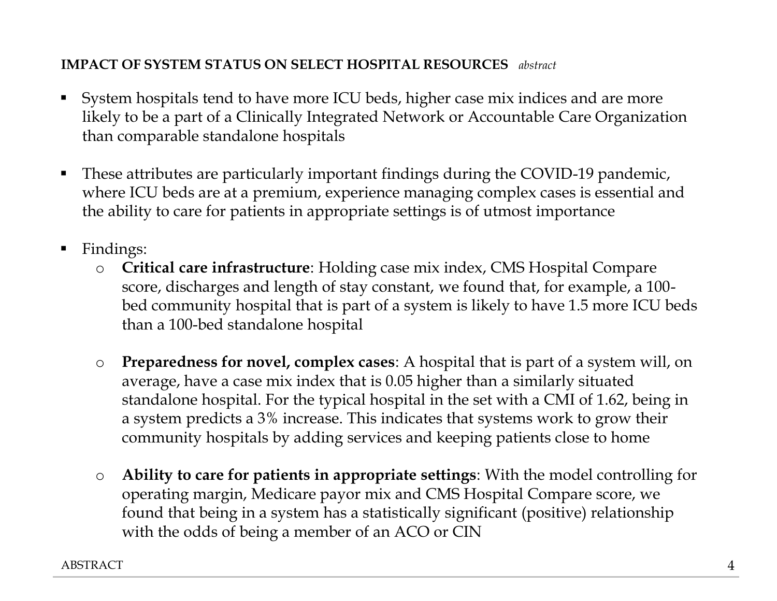# **IMPACT OF SYSTEM STATUS ON SELECT HOSPITAL RESOURCES** *abstract*

- System hospitals tend to have more ICU beds, higher case mix indices and are more likely to be a part of a Clinically Integrated Network or Accountable Care Organization than comparable standalone hospitals
- These attributes are particularly important findings during the COVID-19 pandemic, where ICU beds are at a premium, experience managing complex cases is essential and the ability to care for patients in appropriate settings is of utmost importance
- Findings:
	- o **Critical care infrastructure**: Holding case mix index, CMS Hospital Compare score, discharges and length of stay constant, we found that, for example, a 100 bed community hospital that is part of a system is likely to have 1.5 more ICU beds than a 100-bed standalone hospital
	- o **Preparedness for novel, complex cases**: A hospital that is part of a system will, on average, have a case mix index that is 0.05 higher than a similarly situated standalone hospital. For the typical hospital in the set with a CMI of 1.62, being in a system predicts a 3% increase. This indicates that systems work to grow their community hospitals by adding services and keeping patients close to home
	- o **Ability to care for patients in appropriate settings**: With the model controlling for operating margin, Medicare payor mix and CMS Hospital Compare score, we found that being in a system has a statistically significant (positive) relationship with the odds of being a member of an ACO or CIN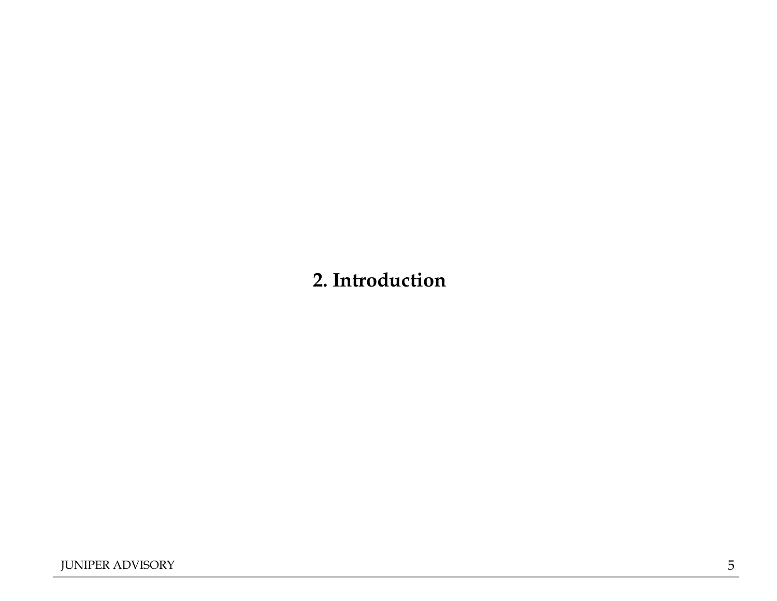# **2. Introduction**

JUNIPER ADVISORY 5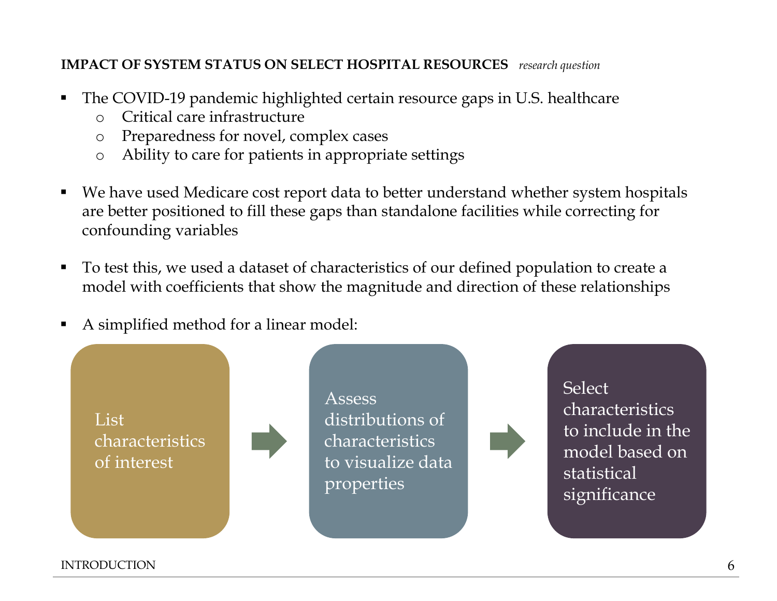# **IMPACT OF SYSTEM STATUS ON SELECT HOSPITAL RESOURCES** *research question*

- The COVID-19 pandemic highlighted certain resource gaps in U.S. healthcare
	- o Critical care infrastructure
	- o Preparedness for novel, complex cases
	- o Ability to care for patients in appropriate settings
- We have used Medicare cost report data to better understand whether system hospitals are better positioned to fill these gaps than standalone facilities while correcting for confounding variables
- To test this, we used a dataset of characteristics of our defined population to create a model with coefficients that show the magnitude and direction of these relationships
- A simplified method for a linear model:



INTRODUCTION 6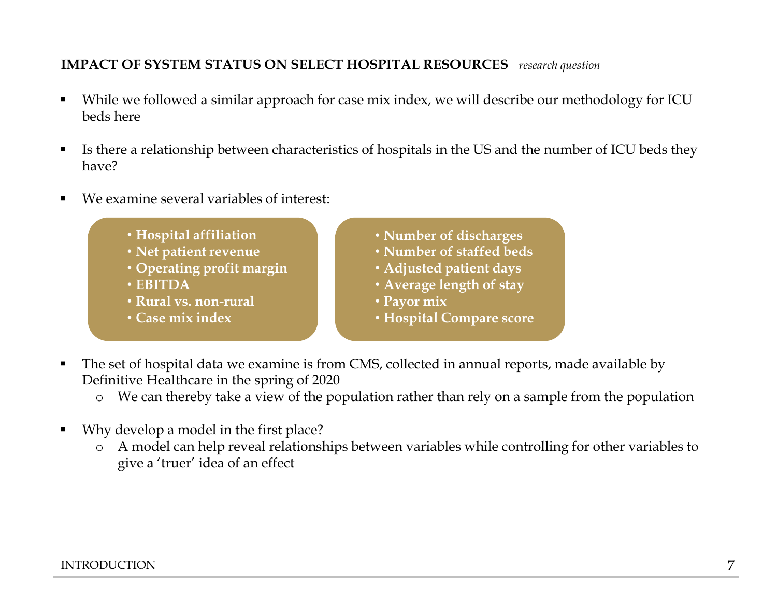# **IMPACT OF SYSTEM STATUS ON SELECT HOSPITAL RESOURCES** *research question*

- While we followed a similar approach for case mix index, we will describe our methodology for ICU beds here
- Is there a relationship between characteristics of hospitals in the US and the number of ICU beds they have?
- We examine several variables of interest:
	- **Hospital affiliation**
	- **Net patient revenue**
	- **Operating profit margin**
	- **EBITDA**
	- **Rural vs. non-rural**
	- **Case mix index**
- **Number of discharges**
- **Number of staffed beds**
- **Adjusted patient days**
- **Average length of stay**
- **Payor mix**
- **Hospital Compare score**
- The set of hospital data we examine is from CMS, collected in annual reports, made available by Definitive Healthcare in the spring of 2020
	- o We can thereby take a view of the population rather than rely on a sample from the population
- Why develop a model in the first place?
	- o A model can help reveal relationships between variables while controlling for other variables to give a 'truer' idea of an effect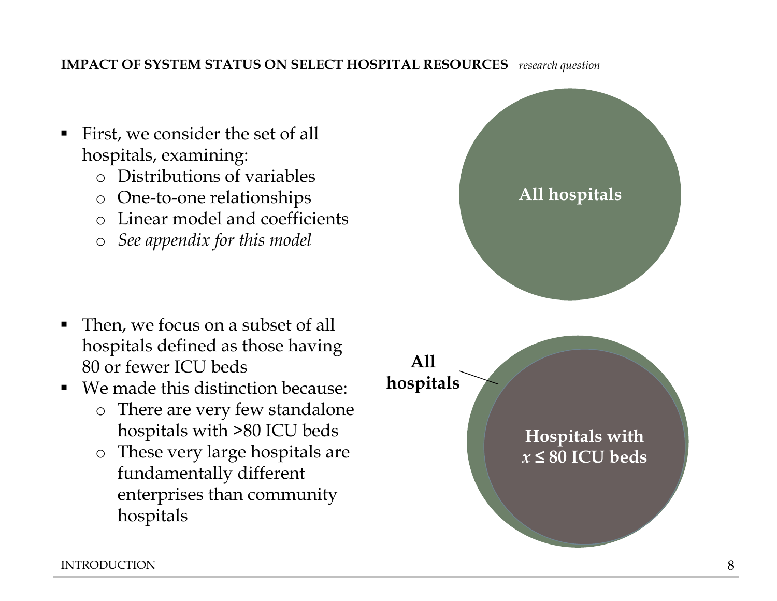# **IMPACT OF SYSTEM STATUS ON SELECT HOSPITAL RESOURCES** *research question*

- First, we consider the set of all hospitals, examining:
	- o Distributions of variables
	- o One-to-one relationships
	- o Linear model and coefficients
	- o *See appendix for this model*

- Then, we focus on a subset of all hospitals defined as those having 80 or fewer ICU beds
- We made this distinction because:
	- o There are very few standalone hospitals with >80 ICU beds
	- o These very large hospitals are fundamentally different enterprises than community hospitals

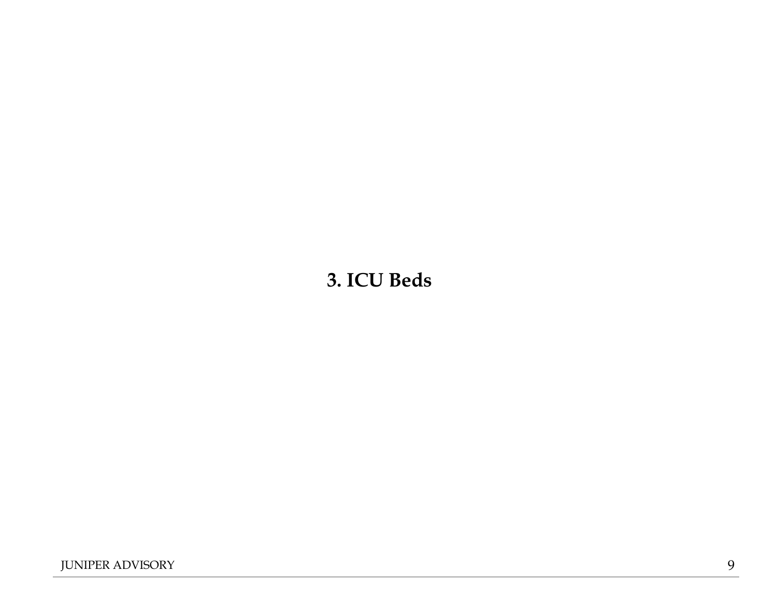# **3. ICU Beds**

JUNIPER ADVISORY 9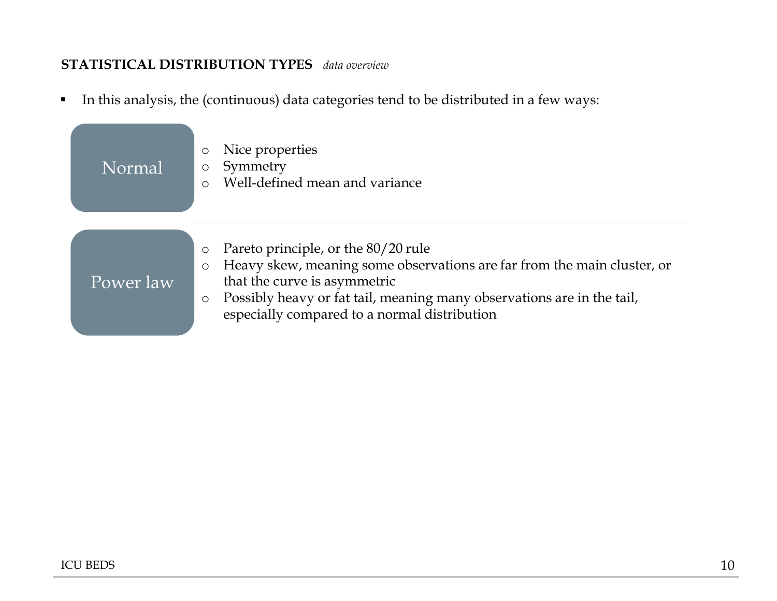## **STATISTICAL DISTRIBUTION TYPES** *data overview*

▪ In this analysis, the (continuous) data categories tend to be distributed in a few ways:

| Normal    | Nice properties<br>$\circ$<br>Symmetry<br>O<br>Well-defined mean and variance                                                                                                                                                                                                                                                                 |
|-----------|-----------------------------------------------------------------------------------------------------------------------------------------------------------------------------------------------------------------------------------------------------------------------------------------------------------------------------------------------|
| Power law | Pareto principle, or the 80/20 rule<br>$\circlearrowright$<br>Heavy skew, meaning some observations are far from the main cluster, or<br>$\circlearrowright$<br>that the curve is asymmetric<br>Possibly heavy or fat tail, meaning many observations are in the tail,<br>$\circlearrowright$<br>especially compared to a normal distribution |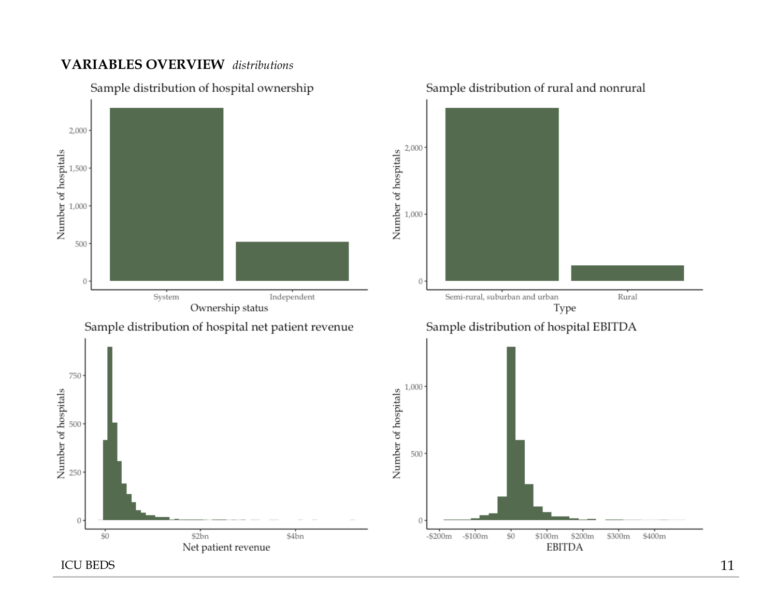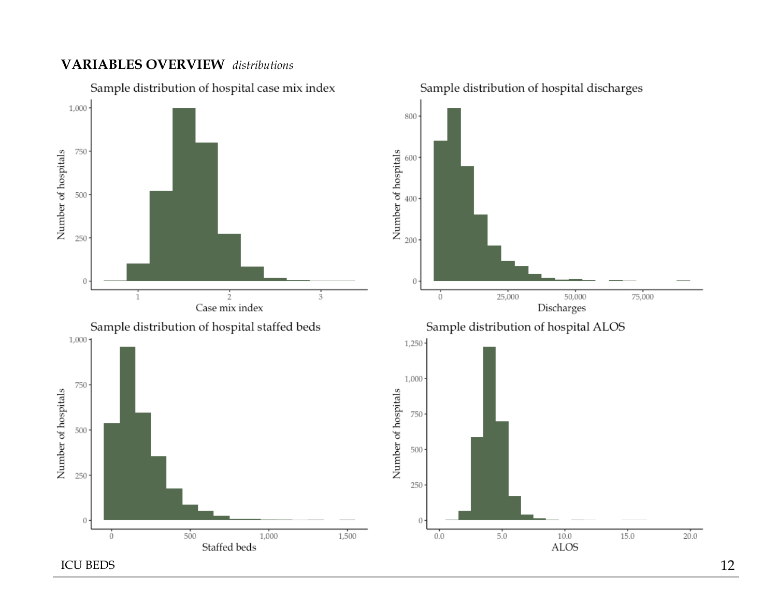

Sample distribution of hospital discharges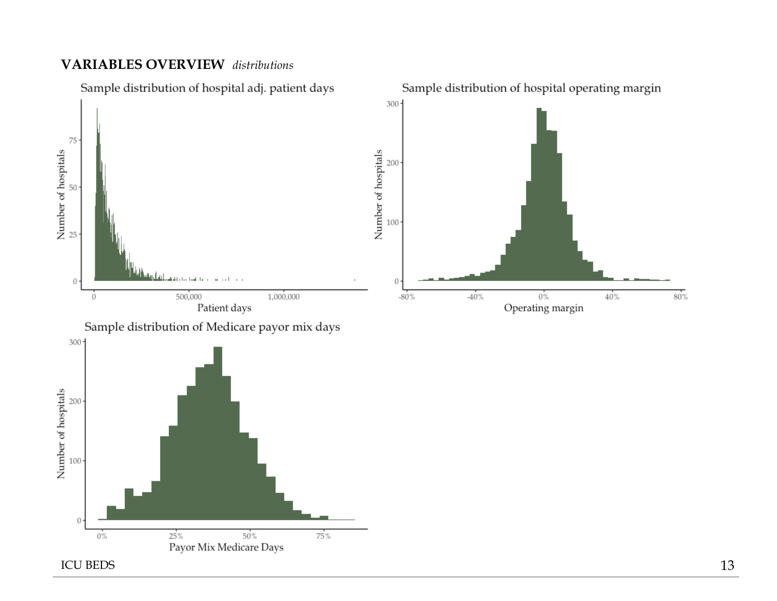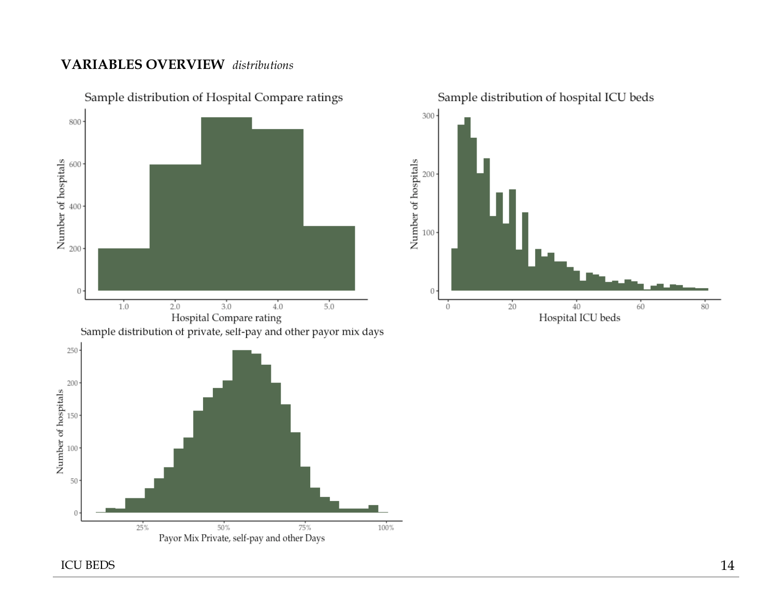

Sample distribution of Hospital Compare ratings

ICU BEDS 14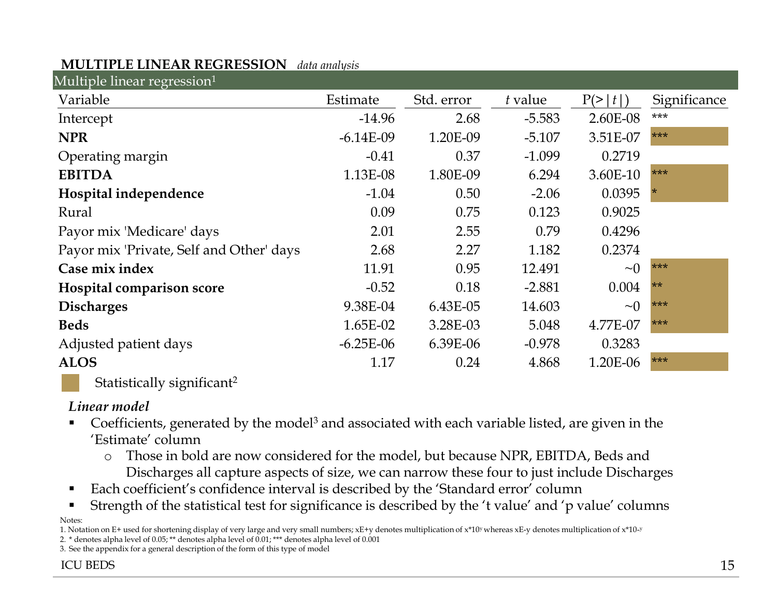# **MULTIPLE LINEAR REGRESSION** *data analysis*

| Multiple linear regression <sup>1</sup>  |             |            |          |          |              |
|------------------------------------------|-------------|------------|----------|----------|--------------|
| Variable                                 | Estimate    | Std. error | t value  | P(>  t ) | Significance |
| Intercept                                | $-14.96$    | 2.68       | $-5.583$ | 2.60E-08 | ***          |
| <b>NPR</b>                               | $-6.14E-09$ | 1.20E-09   | $-5.107$ | 3.51E-07 | ***          |
| Operating margin                         | $-0.41$     | 0.37       | $-1.099$ | 0.2719   |              |
| <b>EBITDA</b>                            | 1.13E-08    | 1.80E-09   | 6.294    | 3.60E-10 | ***          |
| Hospital independence                    | $-1.04$     | 0.50       | $-2.06$  | 0.0395   |              |
| Rural                                    | 0.09        | 0.75       | 0.123    | 0.9025   |              |
| Payor mix 'Medicare' days                | 2.01        | 2.55       | 0.79     | 0.4296   |              |
| Payor mix 'Private, Self and Other' days | 2.68        | 2.27       | 1.182    | 0.2374   |              |
| Case mix index                           | 11.91       | 0.95       | 12.491   | $\sim 0$ | ***          |
| Hospital comparison score                | $-0.52$     | 0.18       | $-2.881$ | 0.004    | $**$         |
| <b>Discharges</b>                        | 9.38E-04    | 6.43E-05   | 14.603   | $\sim 0$ | ***          |
| <b>Beds</b>                              | 1.65E-02    | 3.28E-03   | 5.048    | 4.77E-07 | ***          |
| Adjusted patient days                    | $-6.25E-06$ | 6.39E-06   | $-0.978$ | 0.3283   |              |
| <b>ALOS</b>                              | 1.17        | 0.24       | 4.868    | 1.20E-06 | ***          |
|                                          |             |            |          |          |              |

Statistically significant<sup>2</sup>

# *Linear model*

- Coefficients, generated by the model<sup>3</sup> and associated with each variable listed, are given in the 'Estimate' column
	- o Those in bold are now considered for the model, but because NPR, EBITDA, Beds and Discharges all capture aspects of size, we can narrow these four to just include Discharges
- Each coefficient's confidence interval is described by the 'Standard error' column
- Strength of the statistical test for significance is described by the 't value' and 'p value' columns

Notes:

1. Notation on E+ used for shortening display of very large and very small numbers;  $xE+y$  denotes multiplication of  $x*10y$  whereas  $xE$ -y denotes multiplication of  $x*10-y$ 

2. \* denotes alpha level of 0.05; \*\* denotes alpha level of 0.01; \*\*\* denotes alpha level of 0.001

3. See the appendix for a general description of the form of this type of model

## ICU BEDS and the set of the set of the set of the set of the set of the set of the set of the set of the set of the set of the set of the set of the set of the set of the set of the set of the set of the set of the set of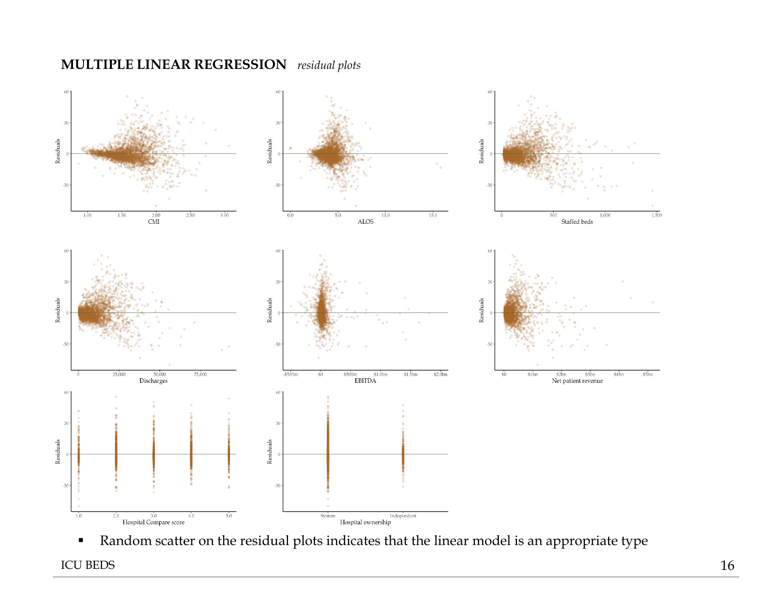# **MULTIPLE LINEAR REGRESSION** *residual plots*



▪ Random scatter on the residual plots indicates that the linear model is an appropriate type

ICU BEDS 216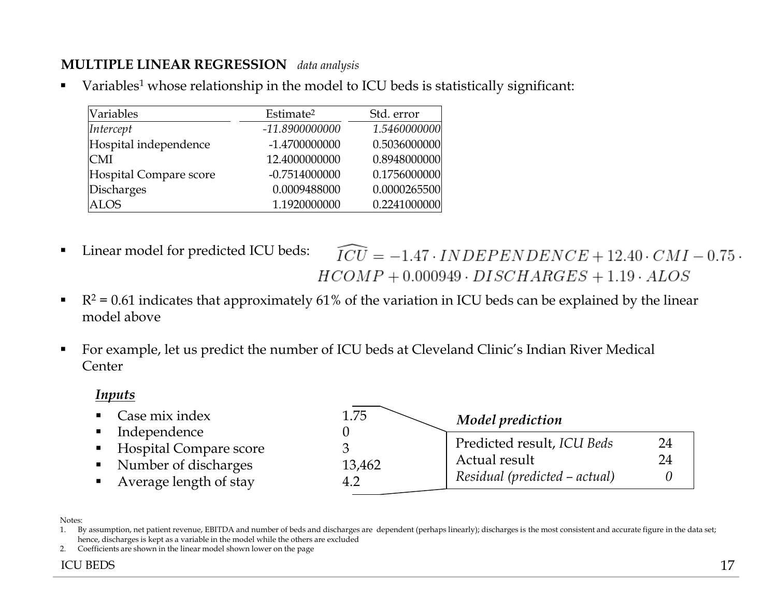# **MULTIPLE LINEAR REGRESSION** *data analysis*

Variables<sup>1</sup> whose relationship in the model to ICU beds is statistically significant:

| Variables              | Estimate <sup>2</sup> | Std. error   |
|------------------------|-----------------------|--------------|
| Intercept              | -11.8900000000        | 1.5460000000 |
| Hospital independence  | -1.4700000000         | 0.5036000000 |
| <b>CMI</b>             | 12.4000000000         | 0.8948000000 |
| Hospital Compare score | $-0.7514000000$       | 0.1756000000 |
| Discharges             | 0.0009488000          | 0.0000265500 |
| ALOS                   | 1.1920000000          | 0.2241000000 |

Linear model for predicted ICU beds:

 $\widehat{ICU} = -1.47 \cdot INDEPENDENCE + 12.40 \cdot CMI - 0.75$  $HCOMP+0.000949 \cdot DISCHARGES+1.19 \cdot ALOS$ 

- $\blacksquare$   $R^2 = 0.61$  indicates that approximately 61% of the variation in ICU beds can be explained by the linear model above
- For example, let us predict the number of ICU beds at Cleveland Clinic's Indian River Medical Center

#### *Inputs*

- $\blacksquare$  Case mix index
- **·** Independence
- **Exercise Hospital Compare score**
- Number of discharges
- Average length of stay

| 1.75   | Model prediction              |    |
|--------|-------------------------------|----|
|        | Predicted result, ICU Beds    | 24 |
| 13,462 | Actual result                 | 24 |
|        | Residual (predicted - actual) |    |

Notes:

1. By assumption, net patient revenue, EBITDA and number of beds and discharges are dependent (perhaps linearly); discharges is the most consistent and accurate figure in the data set; hence, discharges is kept as a variable in the model while the others are excluded

2. Coefficients are shown in the linear model shown lower on the page

#### ICU BEDS 17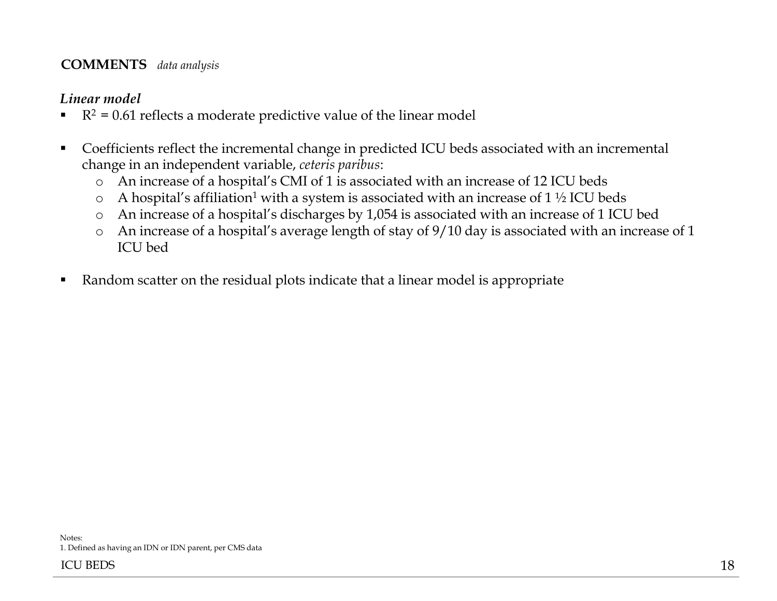#### **COMMENTS** *data analysis*

#### *Linear model*

- $\blacksquare$   $R^2 = 0.61$  reflects a moderate predictive value of the linear model
- Coefficients reflect the incremental change in predicted ICU beds associated with an incremental change in an independent variable, *ceteris paribus*:
	- o An increase of a hospital's CMI of 1 is associated with an increase of 12 ICU beds
	- $\circ$  A hospital's affiliation<sup>1</sup> with a system is associated with an increase of 1 ½ ICU beds
	- o An increase of a hospital's discharges by 1,054 is associated with an increase of 1 ICU bed
	- o An increase of a hospital's average length of stay of 9/10 day is associated with an increase of 1 ICU bed
- Random scatter on the residual plots indicate that a linear model is appropriate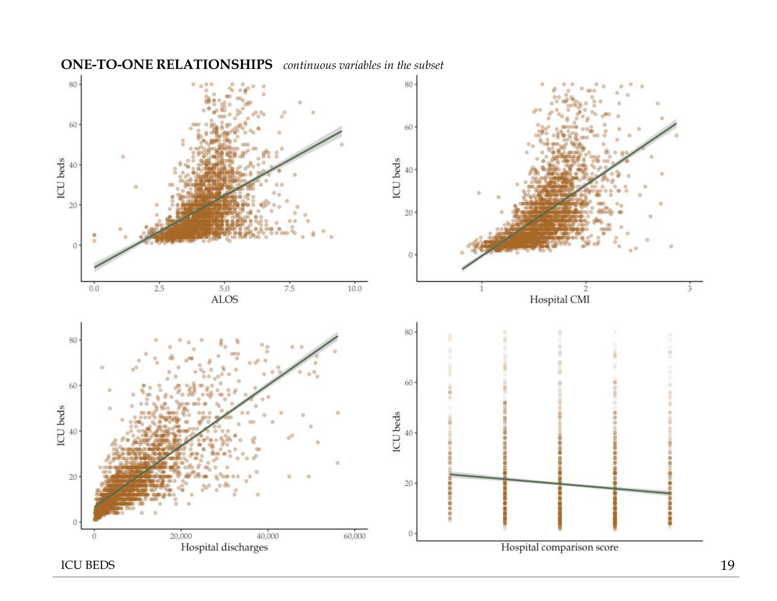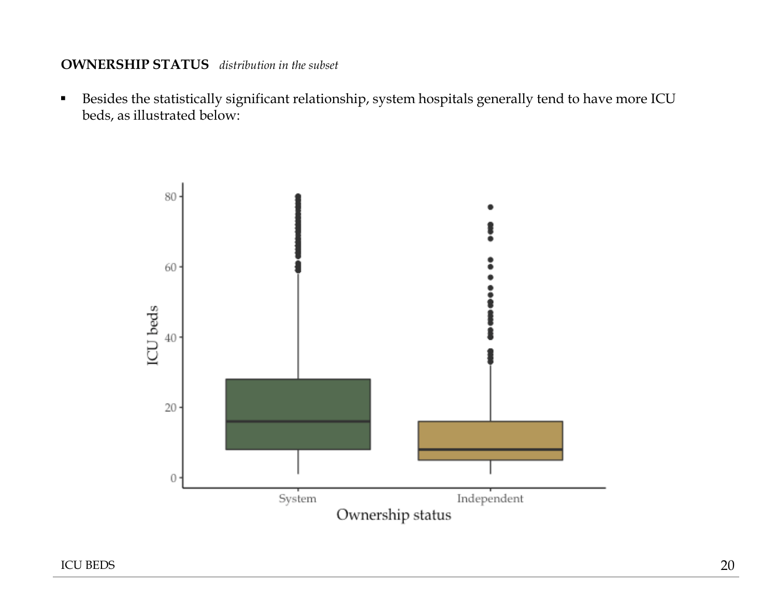#### **OWNERSHIP STATUS** *distribution in the subset*

▪ Besides the statistically significant relationship, system hospitals generally tend to have more ICU beds, as illustrated below:

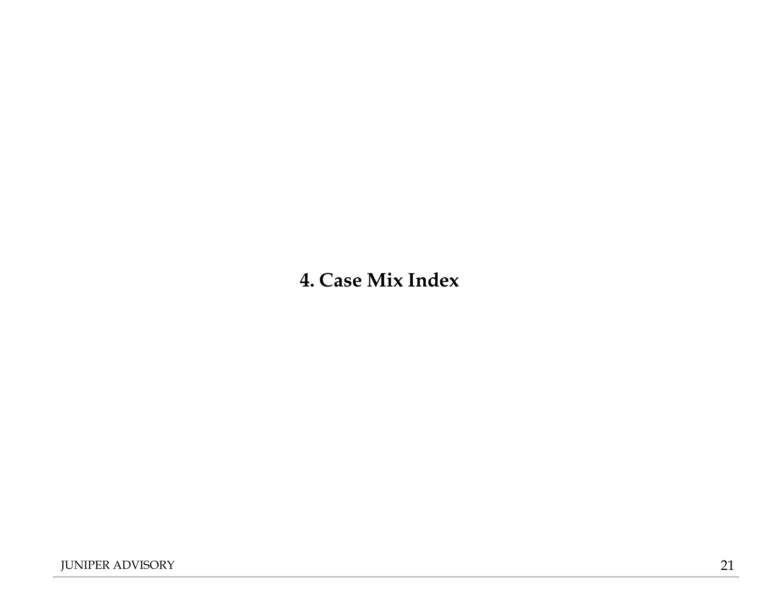# **4. Case Mix Index**

JUNIPER ADVISORY 21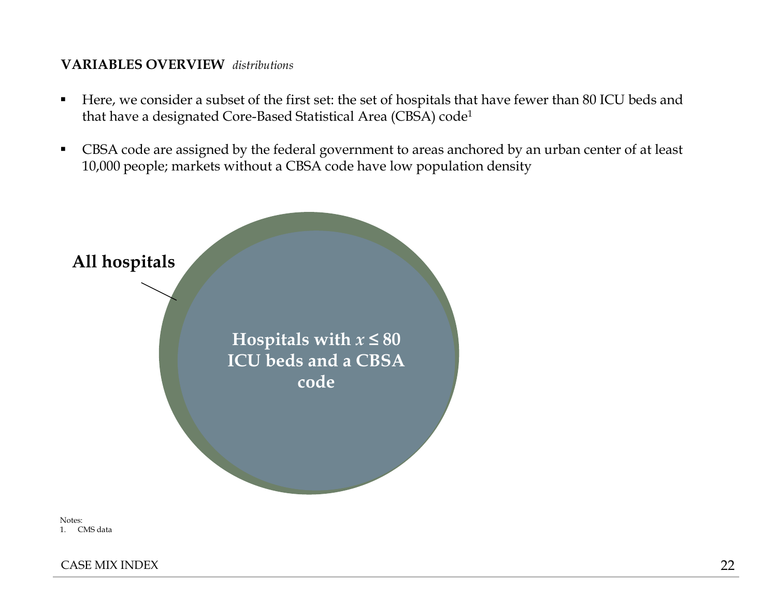- Here, we consider a subset of the first set: the set of hospitals that have fewer than 80 ICU beds and that have a designated Core-Based Statistical Area (CBSA) code<sup>1</sup>
- CBSA code are assigned by the federal government to areas anchored by an urban center of at least 10,000 people; markets without a CBSA code have low population density



Notes: 1. CMS data

CASE MIX INDEX 22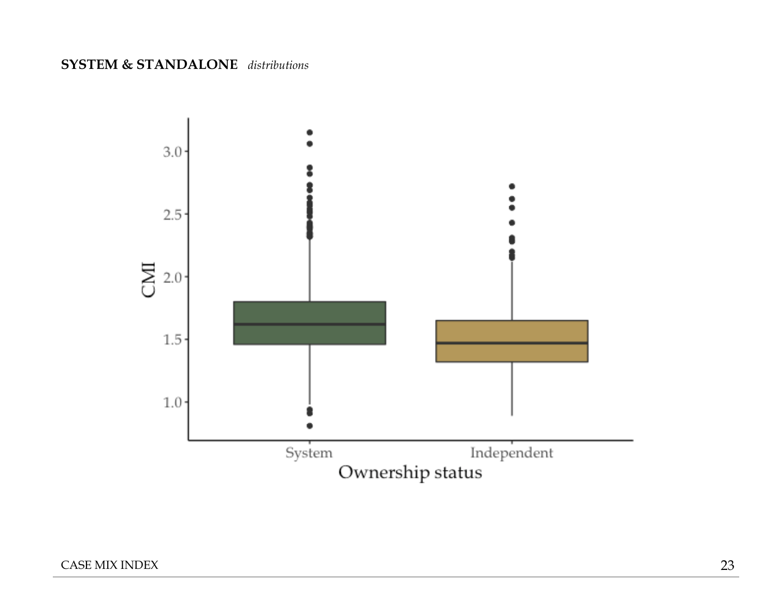### **SYSTEM & STANDALONE** *distributions*

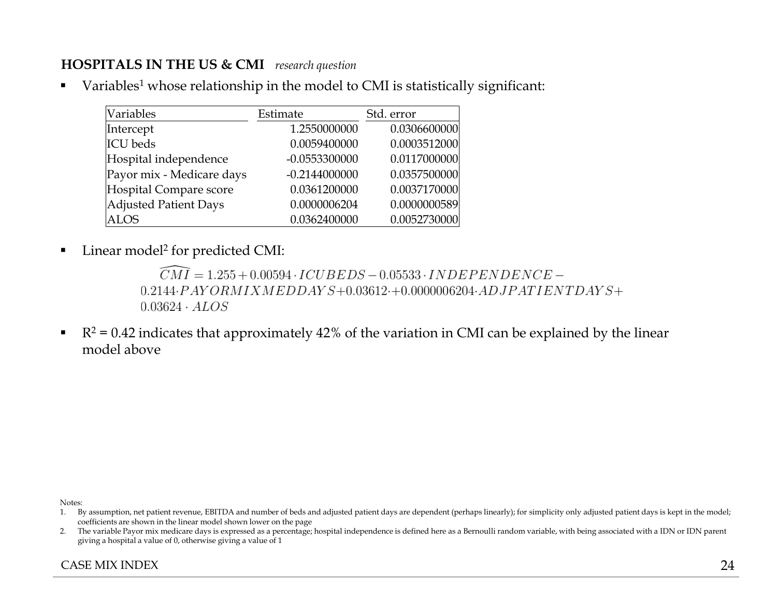## **HOSPITALS IN THE US & CMI** *research question*

■ Variables<sup>1</sup> whose relationship in the model to CMI is statistically significant:

| Variables                 | Estimate        | Std. error   |
|---------------------------|-----------------|--------------|
| Intercept                 | 1.2550000000    | 0.0306600000 |
| ICU beds                  | 0.0059400000    | 0.0003512000 |
| Hospital independence     | $-0.0553300000$ | 0.0117000000 |
| Payor mix - Medicare days | $-0.2144000000$ | 0.0357500000 |
| Hospital Compare score    | 0.0361200000    | 0.0037170000 |
| Adjusted Patient Days     | 0.0000006204    | 0.0000000589 |
| <b>ALOS</b>               | 0.0362400000    | 0.0052730000 |

■ Linear model<sup>2</sup> for predicted CMI:

```
\widehat{CMI} = 1.255 + 0.00594 \cdot ICUBEDS - 0.05533 \cdot INDEPENDENCE -0.2144 \cdot PAYORMIX MEDDAYS + 0.03612 \cdot + 0.0000006204 \cdot ADJPATIENTDAYS +0.03624 \cdot ALOS
```
 $\blacksquare$   $R^2 = 0.42$  indicates that approximately 42% of the variation in CMI can be explained by the linear model above

Notes:

- 1. By assumption, net patient revenue, EBITDA and number of beds and adjusted patient days are dependent (perhaps linearly); for simplicity only adjusted patient days is kept in the model; coefficients are shown in the linear model shown lower on the page
- 2. The variable Payor mix medicare days is expressed as a percentage; hospital independence is defined here as a Bernoulli random variable, with being associated with a IDN or IDN parent giving a hospital a value of 0, otherwise giving a value of 1

#### CASE MIX INDEX 24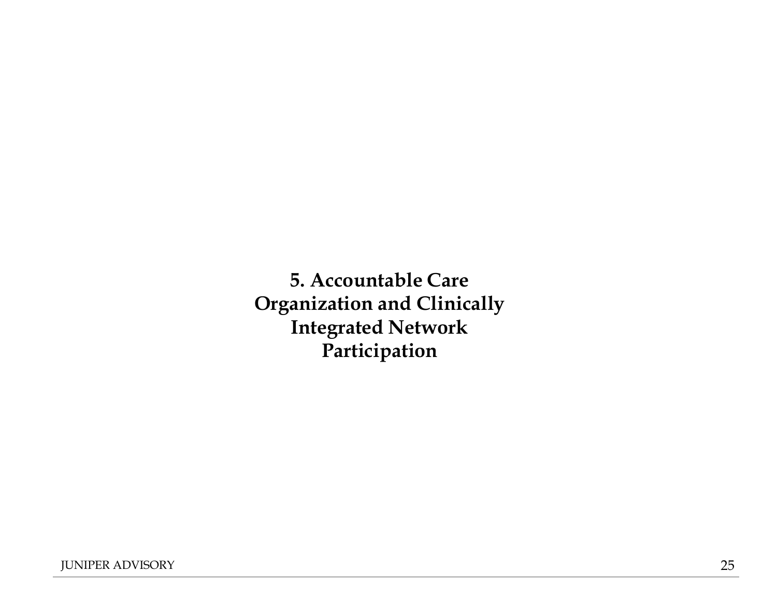**5. Accountable Care Organization and Clinically Integrated Network Participation**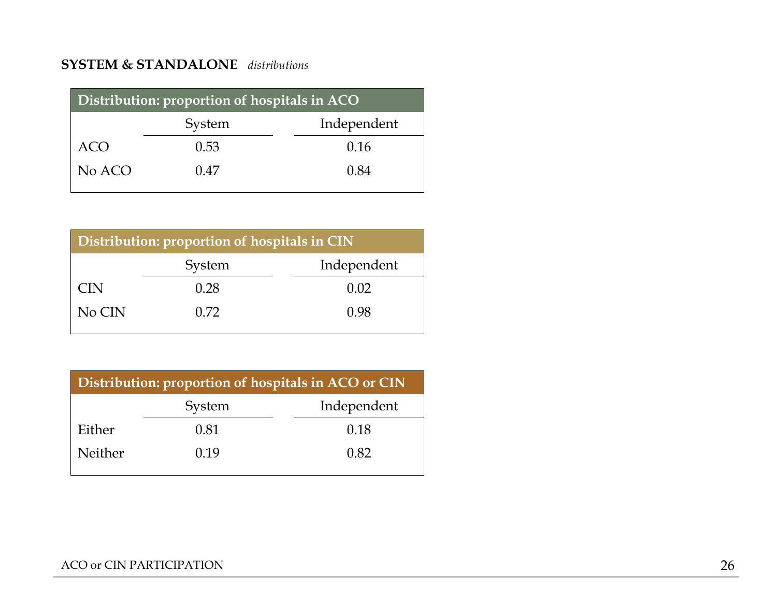## **SYSTEM & STANDALONE** *distributions*

| Distribution: proportion of hospitals in ACO |      |      |  |
|----------------------------------------------|------|------|--|
| Independent<br>System                        |      |      |  |
| ACO                                          | 0.53 | 0.16 |  |
| No ACO                                       | 0.47 | 0.84 |  |

| Distribution: proportion of hospitals in CIN |        |             |  |
|----------------------------------------------|--------|-------------|--|
|                                              | System | Independent |  |
| <b>CIN</b>                                   | 0.28   | 0.02        |  |
| No CIN                                       | 0.72   | 0.98        |  |

| Distribution: proportion of hospitals in ACO or CIN |        |             |  |
|-----------------------------------------------------|--------|-------------|--|
|                                                     | System | Independent |  |
| Either                                              | 0.81   | 0.18        |  |
| Neither                                             | 0.19   | 0.82        |  |

#### ACO or CIN PARTICIPATION 26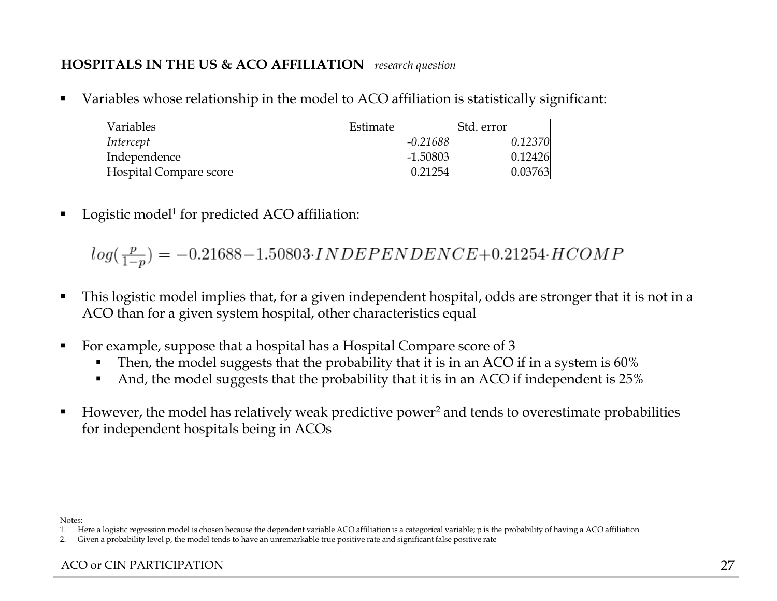# **HOSPITALS IN THE US & ACO AFFILIATION** *research question*

■ Variables whose relationship in the model to ACO affiliation is statistically significant:

| <i>Nariables</i>       | Estimate   | Std. error |
|------------------------|------------|------------|
| Intercept              | -0.21688   | 0.12370    |
| Independence           | $-1.50803$ | 0.12426    |
| Hospital Compare score | 0.21254    | 0.03763    |

■ Logistic model<sup>1</sup> for predicted ACO affiliation:

 $log(\frac{p}{1-p}) = -0.21688 - 1.50803 \cdot INDEPENDENCE + 0.21254 \cdot HCOMP$ 

- This logistic model implies that, for a given independent hospital, odds are stronger that it is not in a ACO than for a given system hospital, other characteristics equal
- For example, suppose that a hospital has a Hospital Compare score of 3
	- Then, the model suggests that the probability that it is in an ACO if in a system is 60%
	- And, the model suggests that the probability that it is in an ACO if independent is 25%
- $\blacksquare$  However, the model has relatively weak predictive power<sup>2</sup> and tends to overestimate probabilities for independent hospitals being in ACOs

Notes:

<sup>1.</sup> Here a logistic regression model is chosen because the dependent variable ACO affiliation is a categorical variable; p is the probability of having a ACO affiliation

<sup>2.</sup> Given a probability level p, the model tends to have an unremarkable true positive rate and significant false positive rate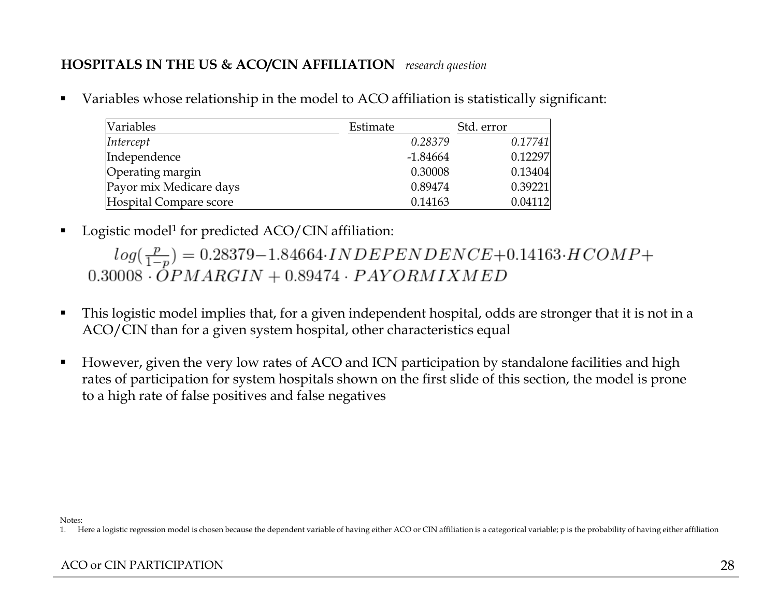# **HOSPITALS IN THE US & ACO/CIN AFFILIATION** *research question*

■ Variables whose relationship in the model to ACO affiliation is statistically significant:

| Variables               | Estimate   | Std. error |
|-------------------------|------------|------------|
| Intercept               | 0.28379    | 0.17741    |
| Independence            | $-1.84664$ | 0.12297    |
| Operating margin        | 0.30008    | 0.13404    |
| Payor mix Medicare days | 0.89474    | 0.39221    |
| Hospital Compare score  | 0.14163    | 0.04112    |

■ Logistic model<sup>1</sup> for predicted ACO/CIN affiliation:

 $log(\frac{p}{1-p}) = 0.28379 - 1.84664 \cdot INDEPENDENCE + 0.14163 \cdot HCOMP +$  $0.30008 \cdot \overline{OPMARGIN} + 0.89474 \cdot PAYORMIXMED$ 

- This logistic model implies that, for a given independent hospital, odds are stronger that it is not in a ACO/CIN than for a given system hospital, other characteristics equal
- However, given the very low rates of ACO and ICN participation by standalone facilities and high rates of participation for system hospitals shown on the first slide of this section, the model is prone to a high rate of false positives and false negatives

Notes:

<sup>1.</sup> Here a logistic regression model is chosen because the dependent variable of having either ACO or CIN affiliation is a categorical variable; p is the probability of having either affiliation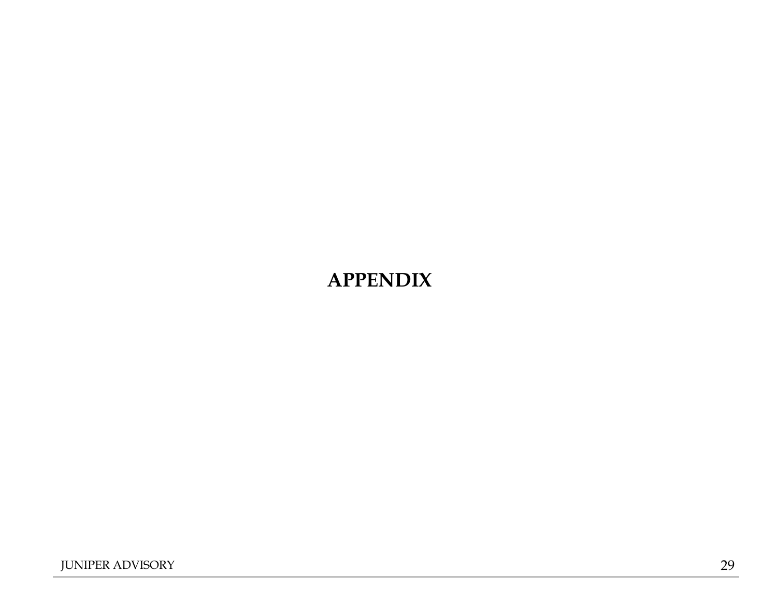# **APPENDIX**

JUNIPER ADVISORY 29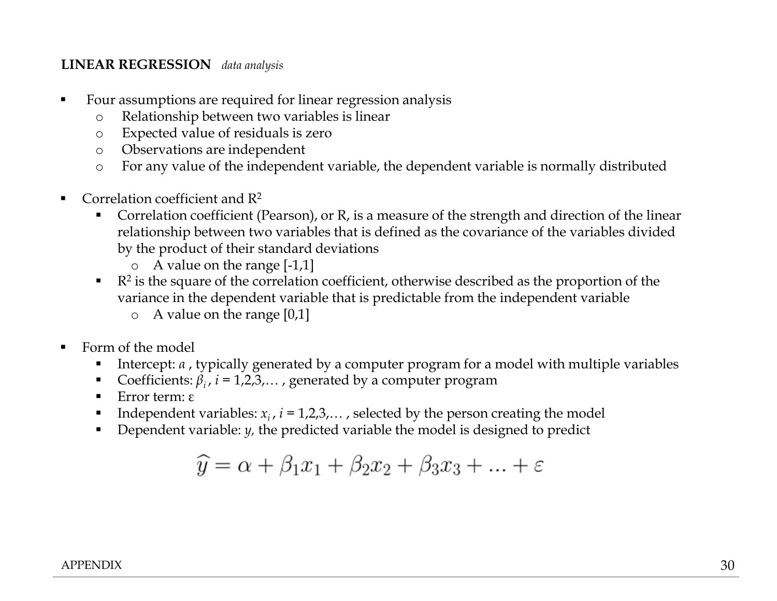#### **LINEAR REGRESSION** *data analysis*

- Four assumptions are required for linear regression analysis
	- o Relationship between two variables is linear
	- o Expected value of residuals is zero
	- o Observations are independent
	- o For any value of the independent variable, the dependent variable is normally distributed
- **•** Correlation coefficient and  $\mathbb{R}^2$ 
	- Correlation coefficient (Pearson), or R, is a measure of the strength and direction of the linear relationship between two variables that is defined as the covariance of the variables divided by the product of their standard deviations
		- o A value on the range [-1,1]
	- $\blacksquare$   $\blacksquare$  R<sup>2</sup> is the square of the correlation coefficient, otherwise described as the proportion of the variance in the dependent variable that is predictable from the independent variable
		- o A value on the range [0,1]
- Form of the model
	- Intercept: *α* , typically generated by a computer program for a model with multiple variables
	- **•** Coefficients:  $\beta_i$ ,  $i = 1,2,3,...$ , generated by a computer program
	- Error term: ε
	- **•** Independent variables:  $x_i$ ,  $i = 1,2,3,...$ , selected by the person creating the model
	- Dependent variable: *y*, the predicted variable the model is designed to predict

$$
\widehat{y} = \alpha + \beta_1 x_1 + \beta_2 x_2 + \beta_3 x_3 + \dots + \varepsilon
$$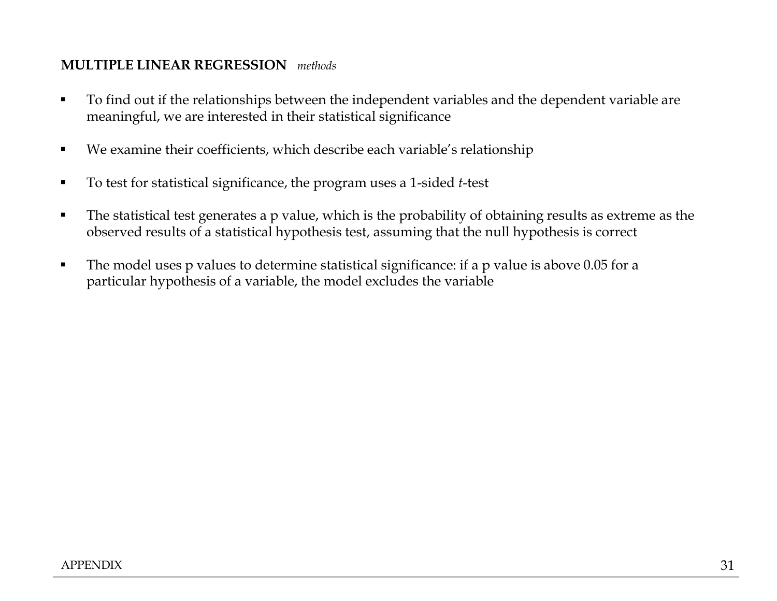## **MULTIPLE LINEAR REGRESSION** *methods*

- To find out if the relationships between the independent variables and the dependent variable are meaningful, we are interested in their statistical significance
- We examine their coefficients, which describe each variable's relationship
- To test for statistical significance, the program uses a 1-sided *t*-test
- The statistical test generates a p value, which is the probability of obtaining results as extreme as the observed results of a statistical hypothesis test, assuming that the null hypothesis is correct
- The model uses p values to determine statistical significance: if a p value is above 0.05 for a particular hypothesis of a variable, the model excludes the variable